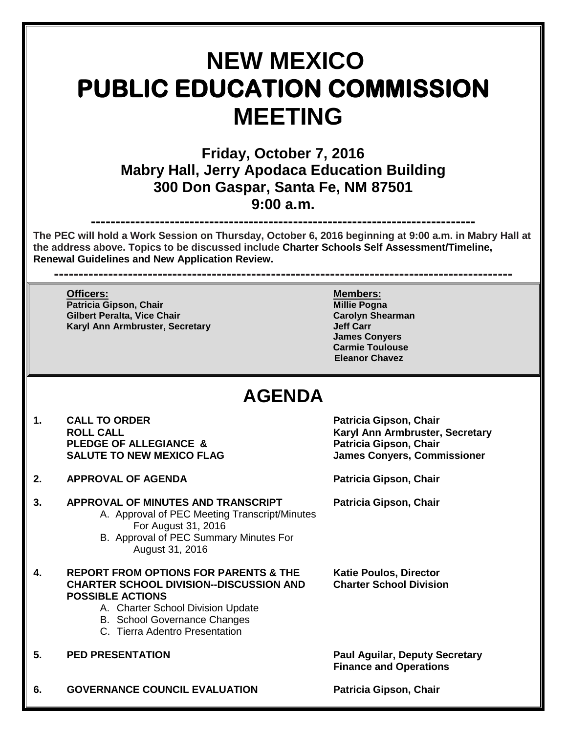# **NEW MEXICO PUBLIC EDUCATION COMMISSION MEETING**

**Friday, October 7, 2016 Mabry Hall, Jerry Apodaca Education Building 300 Don Gaspar, Santa Fe, NM 87501 9:00 a.m.**

**------------------------------------------------------------------------------ The PEC will hold a Work Session on Thursday, October 6, 2016 beginning at 9:00 a.m. in Mabry Hall at the address above. Topics to be discussed include Charter Schools Self Assessment/Timeline, Renewal Guidelines and New Application Review.**

**---------------------------------------------------------------------------------------------**

**Officers: Members: Patricia Gipson, Chair Millie Pogna Gilbert Peralta, Vice Chair Carolyn Shearman Karyl Ann Armbruster, Secretary** 

**James Conyers Carmie Toulouse Eleanor Chavez**

## **AGENDA**

- 1. CALL TO ORDER **Patricia Gipson, Chair**<br>ROLL CALL **ROUL CALL PLEDGE OF ALLEGIANCE & SALUTE TO NEW MEXICO FLAG James Conyers, Commissioner**
- **2. APPROVAL OF AGENDA Patricia Gipson, Chair**
- **3. APPROVAL OF MINUTES AND TRANSCRIPT Patricia Gipson, Chair** A. Approval of PEC Meeting Transcript/Minutes For August 31, 2016
	- B. Approval of PEC Summary Minutes For August 31, 2016
- **4. REPORT FROM OPTIONS FOR PARENTS & THE Katie Poulos, Director CHARTER SCHOOL DIVISION--DISCUSSION AND Charter School Division POSSIBLE ACTIONS**
	- A. Charter School Division Update
	- B. School Governance Changes
	- C. Tierra Adentro Presentation
- 

**5. PED PRESENTATION Paul Aguilar, Deputy Secretary Finance and Operations**

**Karyl Ann Armbruster, Secretary Patricia Gipson, Chair** 

**6. GOVERNANCE COUNCIL EVALUATION Patricia Gipson, Chair**